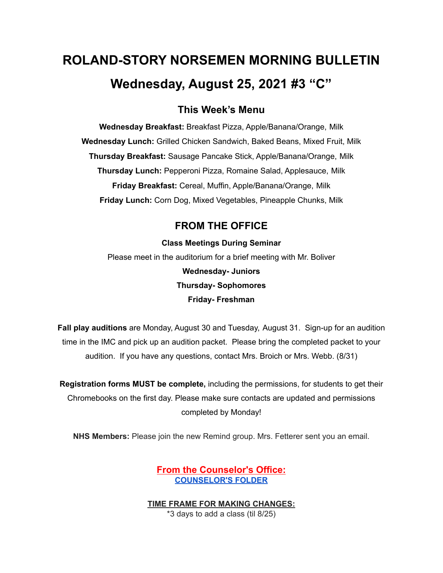# **ROLAND-STORY NORSEMEN MORNING BULLETIN Wednesday, August 25, 2021 #3 "C"**

## **This Week's Menu**

**Wednesday Breakfast:** Breakfast Pizza, Apple/Banana/Orange, Milk **Wednesday Lunch:** Grilled Chicken Sandwich, Baked Beans, Mixed Fruit, Milk **Thursday Breakfast:** Sausage Pancake Stick, Apple/Banana/Orange, Milk **Thursday Lunch:** Pepperoni Pizza, Romaine Salad, Applesauce, Milk **Friday Breakfast:** Cereal, Muffin, Apple/Banana/Orange, Milk **Friday Lunch:** Corn Dog, Mixed Vegetables, Pineapple Chunks, Milk

## **FROM THE OFFICE**

**Class Meetings During Seminar** Please meet in the auditorium for a brief meeting with Mr. Boliver **Wednesday- Juniors Thursday- Sophomores Friday- Freshman**

**Fall play auditions** are Monday, August 30 and Tuesday, August 31. Sign-up for an audition time in the IMC and pick up an audition packet. Please bring the completed packet to your audition. If you have any questions, contact Mrs. Broich or Mrs. Webb. (8/31)

**Registration forms MUST be complete,** including the permissions, for students to get their Chromebooks on the first day. Please make sure contacts are updated and permissions completed by Monday!

**NHS Members:** Please join the new Remind group. Mrs. Fetterer sent you an email.

**From the Counselor's Office: [COUNSELOR'S](https://docs.google.com/document/d/1vmwczNPbDzXe9vFaG5LJMQ7NYDv-i4oQJHybqA65TUc/edit?usp=sharing) FOLDER**

**TIME FRAME FOR MAKING CHANGES:**

\*3 days to add a class (til 8/25)